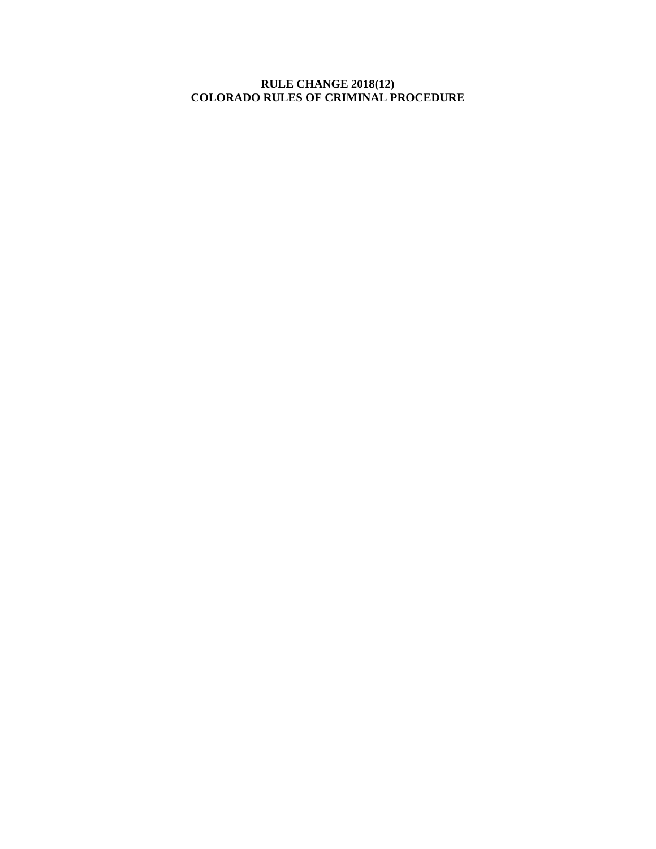**RULE CHANGE 2018(12) COLORADO RULES OF CRIMINAL PROCEDURE**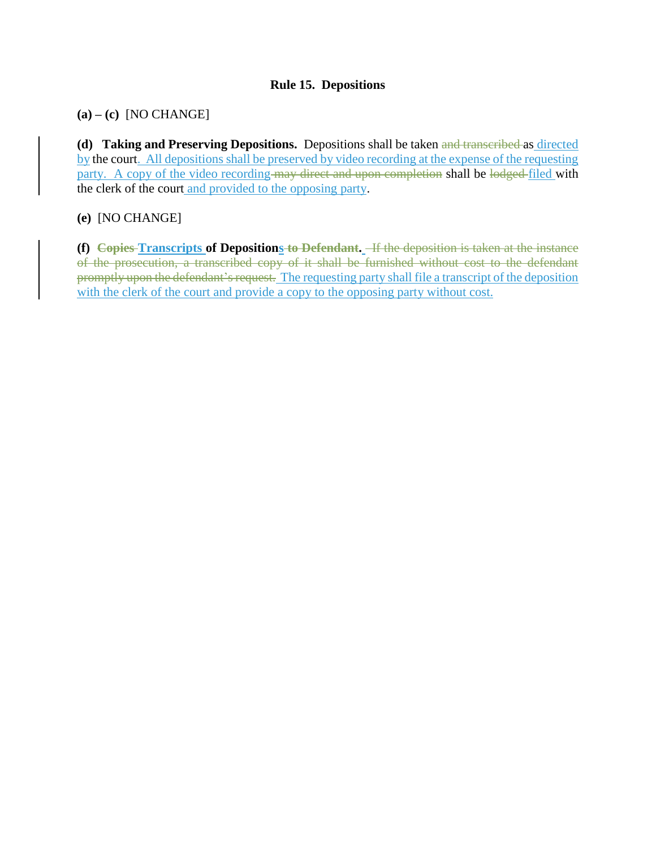# **Rule 15. Depositions**

**(a) – (c)** [NO CHANGE]

**(d) Taking and Preserving Depositions.** Depositions shall be taken and transcribed as directed by the court. All depositions shall be preserved by video recording at the expense of the requesting party. A copy of the video recording may direct and upon completion shall be lodged-filed with the clerk of the court and provided to the opposing party.

# **(e)** [NO CHANGE]

**(f) Copies Transcripts of Depositions to Defendant.** If the deposition is taken at the instance of the prosecution, a transcribed copy of it shall be furnished without cost to the defendant promptly upon the defendant's request. The requesting party shall file a transcript of the deposition with the clerk of the court and provide a copy to the opposing party without cost.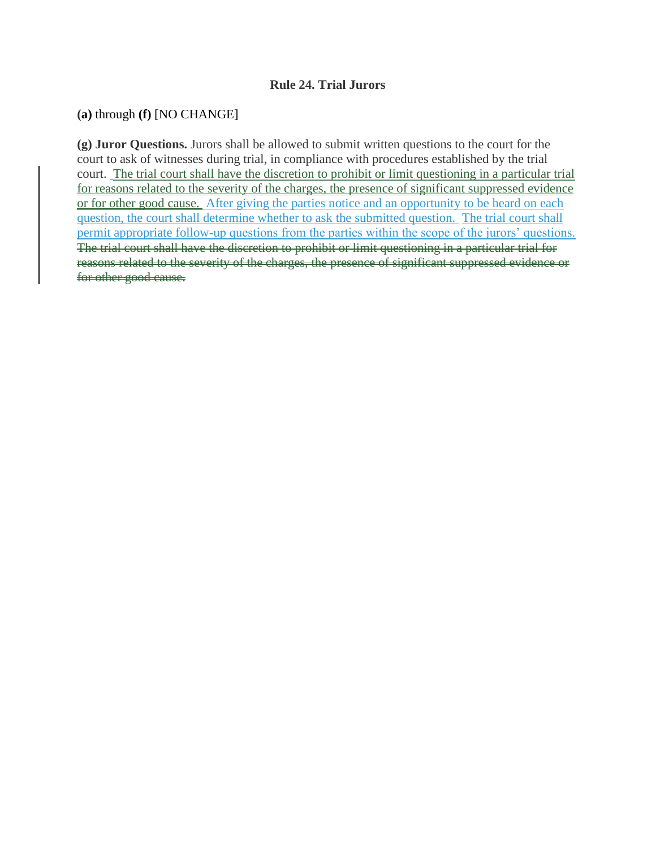#### **Rule 24. Trial Jurors**

#### **(a)** through **(f)** [NO CHANGE]

**(g) Juror Questions.** Jurors shall be allowed to submit written questions to the court for the court to ask of witnesses during trial, in compliance with procedures established by the trial court. The trial court shall have the discretion to prohibit or limit questioning in a particular trial for reasons related to the severity of the charges, the presence of significant suppressed evidence or for other good cause. After giving the parties notice and an opportunity to be heard on each question, the court shall determine whether to ask the submitted question. The trial court shall permit appropriate follow-up questions from the parties within the scope of the jurors' questions. The trial court shall have the discretion to prohibit or limit questioning in a particular trial for reasons related to the severity of the charges, the presence of significant suppressed evidence or for other good cause.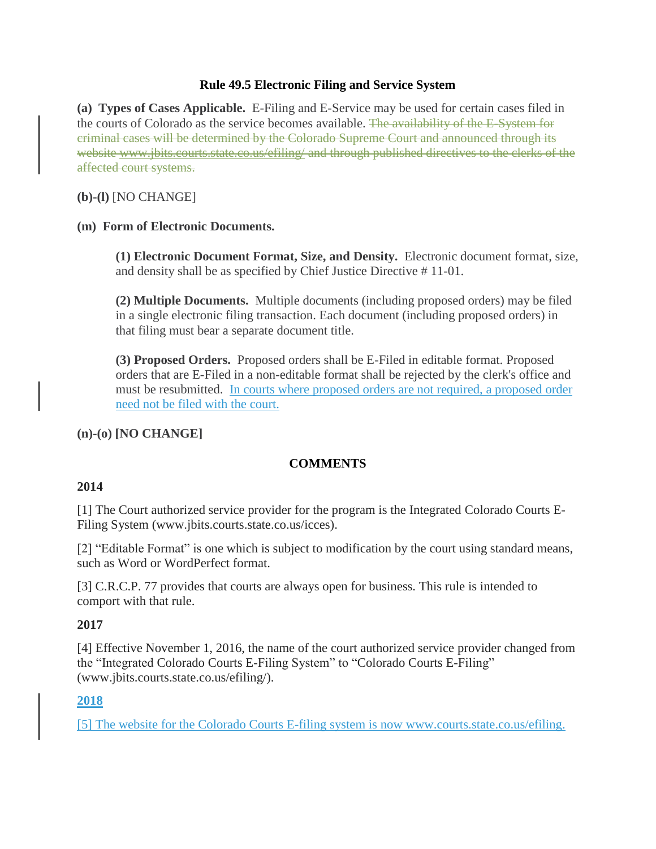#### **Rule 49.5 Electronic Filing and Service System**

**(a) Types of Cases Applicable.** E-Filing and E-Service may be used for certain cases filed in the courts of Colorado as the service becomes available. The availability of the E-System for criminal cases will be determined by the Colorado Supreme Court and announced through its website www.jbits.courts.state.co.us/efiling/ and through published directives to the clerks of the affected court systems.

### **(b)-(l)** [NO CHANGE]

### **(m) Form of Electronic Documents.**

**(1) Electronic Document Format, Size, and Density.** Electronic document format, size, and density shall be as specified by Chief Justice Directive # 11-01.

**(2) Multiple Documents.** Multiple documents (including proposed orders) may be filed in a single electronic filing transaction. Each document (including proposed orders) in that filing must bear a separate document title.

**(3) Proposed Orders.** Proposed orders shall be E-Filed in editable format. Proposed orders that are E-Filed in a non-editable format shall be rejected by the clerk's office and must be resubmitted. In courts where proposed orders are not required, a proposed order need not be filed with the court.

### **(n)-(o) [NO CHANGE]**

### **COMMENTS**

#### **2014**

[1] The Court authorized service provider for the program is the Integrated Colorado Courts E-Filing System (www.jbits.courts.state.co.us/icces).

[2] "Editable Format" is one which is subject to modification by the court using standard means, such as Word or WordPerfect format.

[3] C.R.C.P. 77 provides that courts are always open for business. This rule is intended to comport with that rule.

### **2017**

[4] Effective November 1, 2016, the name of the court authorized service provider changed from the "Integrated Colorado Courts E-Filing System" to "Colorado Courts E-Filing" (www.jbits.courts.state.co.us/efiling/).

### **2018**

[5] The website for the Colorado Courts E-filing system is now [www.courts.state.co.us/efiling.](http://www.courts.state.co.us/efiling)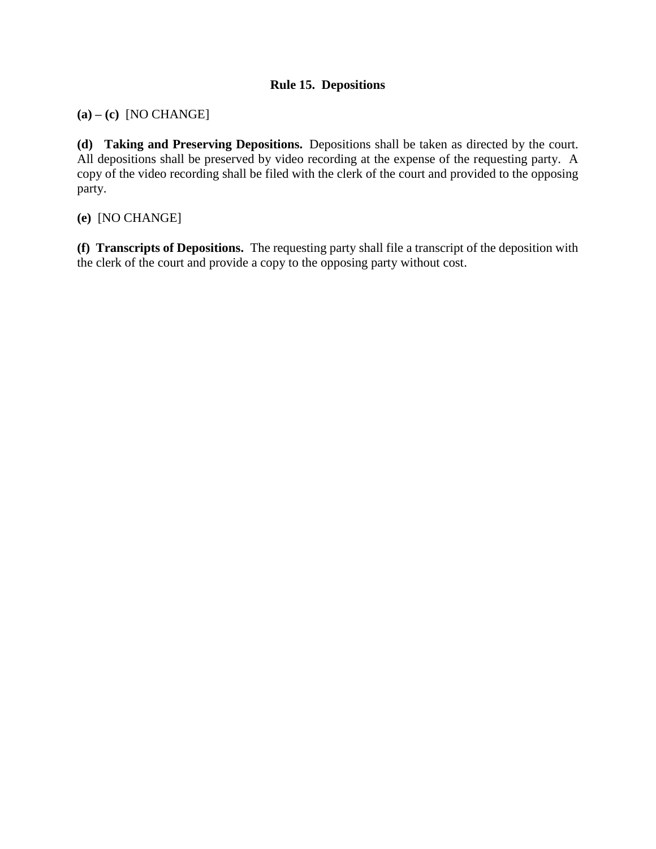# **Rule 15. Depositions**

**(a) – (c)** [NO CHANGE]

**(d) Taking and Preserving Depositions.** Depositions shall be taken as directed by the court. All depositions shall be preserved by video recording at the expense of the requesting party. A copy of the video recording shall be filed with the clerk of the court and provided to the opposing party.

**(e)** [NO CHANGE]

**(f) Transcripts of Depositions.** The requesting party shall file a transcript of the deposition with the clerk of the court and provide a copy to the opposing party without cost.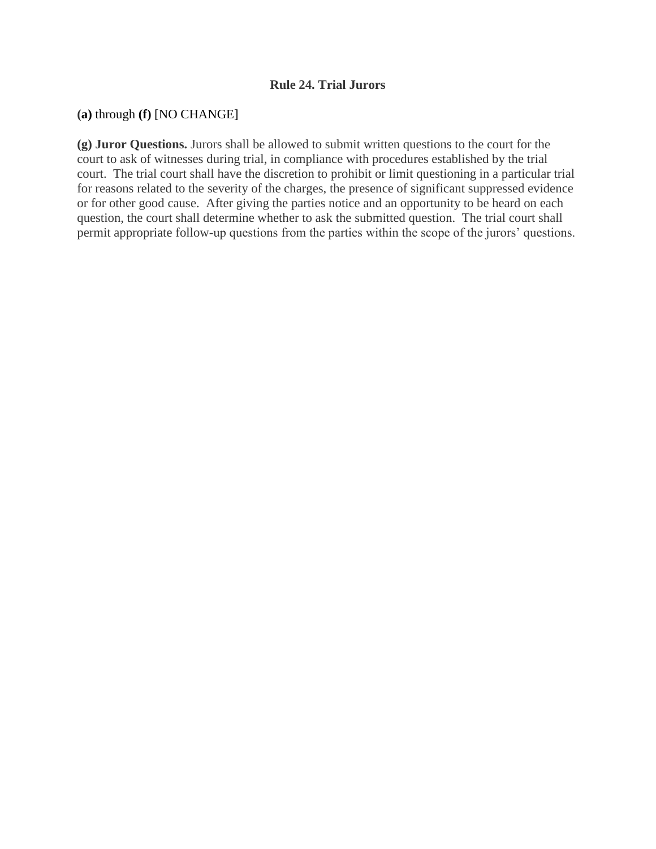#### **Rule 24. Trial Jurors**

#### **(a)** through **(f)** [NO CHANGE]

**(g) Juror Questions.** Jurors shall be allowed to submit written questions to the court for the court to ask of witnesses during trial, in compliance with procedures established by the trial court. The trial court shall have the discretion to prohibit or limit questioning in a particular trial for reasons related to the severity of the charges, the presence of significant suppressed evidence or for other good cause. After giving the parties notice and an opportunity to be heard on each question, the court shall determine whether to ask the submitted question. The trial court shall permit appropriate follow-up questions from the parties within the scope of the jurors' questions.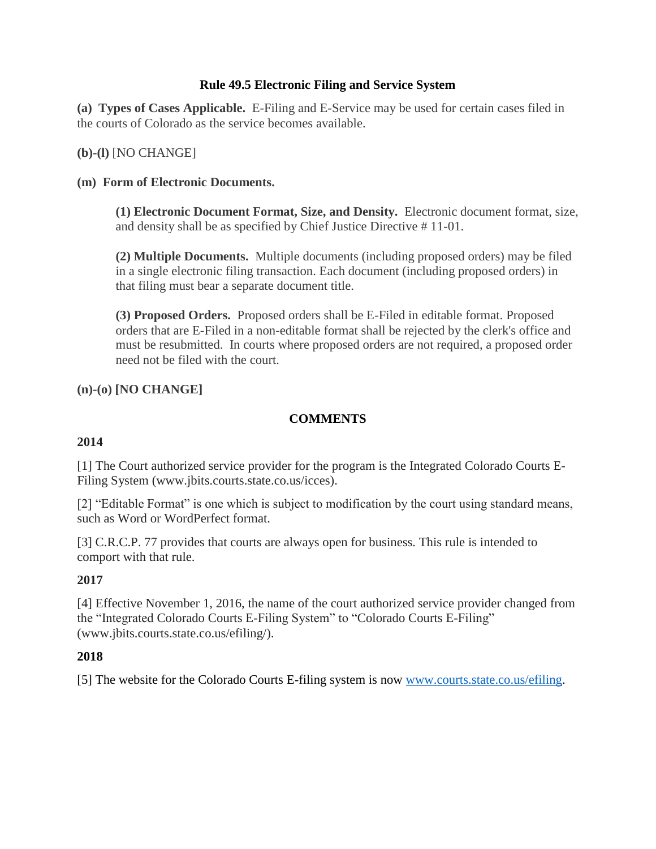### **Rule 49.5 Electronic Filing and Service System**

**(a) Types of Cases Applicable.** E-Filing and E-Service may be used for certain cases filed in the courts of Colorado as the service becomes available.

**(b)-(l)** [NO CHANGE]

#### **(m) Form of Electronic Documents.**

**(1) Electronic Document Format, Size, and Density.** Electronic document format, size, and density shall be as specified by Chief Justice Directive # 11-01.

**(2) Multiple Documents.** Multiple documents (including proposed orders) may be filed in a single electronic filing transaction. Each document (including proposed orders) in that filing must bear a separate document title.

**(3) Proposed Orders.** Proposed orders shall be E-Filed in editable format. Proposed orders that are E-Filed in a non-editable format shall be rejected by the clerk's office and must be resubmitted. In courts where proposed orders are not required, a proposed order need not be filed with the court.

**(n)-(o) [NO CHANGE]** 

# **COMMENTS**

#### **2014**

[1] The Court authorized service provider for the program is the Integrated Colorado Courts E-Filing System (www.jbits.courts.state.co.us/icces).

[2] "Editable Format" is one which is subject to modification by the court using standard means, such as Word or WordPerfect format.

[3] C.R.C.P. 77 provides that courts are always open for business. This rule is intended to comport with that rule.

### **2017**

[4] Effective November 1, 2016, the name of the court authorized service provider changed from the "Integrated Colorado Courts E-Filing System" to "Colorado Courts E-Filing" (www.jbits.courts.state.co.us/efiling/).

### **2018**

[5] The website for the Colorado Courts E-filing system is now [www.courts.state.co.us/efiling.](http://www.courts.state.co.us/efiling)